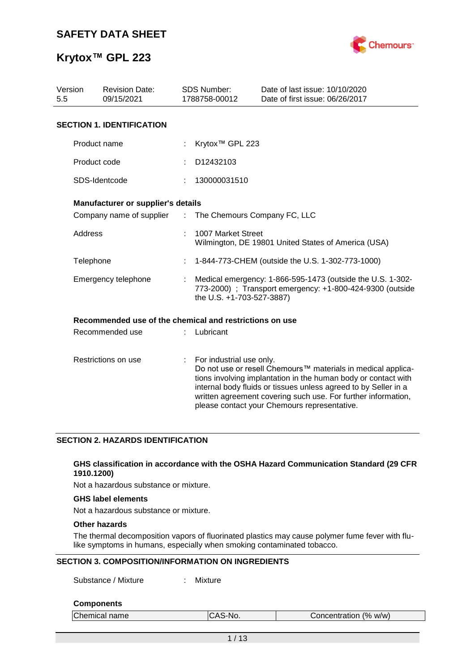

| Version<br>5.5 | <b>Revision Date:</b><br>09/15/2021                     |                       | <b>SDS Number:</b><br>1788758-00012                                                                                                                  | Date of last issue: 10/10/2020<br>Date of first issue: 06/26/2017                                                                                                                                                                                                                                                  |  |  |
|----------------|---------------------------------------------------------|-----------------------|------------------------------------------------------------------------------------------------------------------------------------------------------|--------------------------------------------------------------------------------------------------------------------------------------------------------------------------------------------------------------------------------------------------------------------------------------------------------------------|--|--|
|                | <b>SECTION 1. IDENTIFICATION</b>                        |                       |                                                                                                                                                      |                                                                                                                                                                                                                                                                                                                    |  |  |
|                | Product name                                            |                       | Krytox <sup>™</sup> GPL 223                                                                                                                          |                                                                                                                                                                                                                                                                                                                    |  |  |
|                | Product code                                            |                       | D12432103                                                                                                                                            |                                                                                                                                                                                                                                                                                                                    |  |  |
|                | SDS-Identcode                                           |                       | 130000031510                                                                                                                                         |                                                                                                                                                                                                                                                                                                                    |  |  |
|                | Manufacturer or supplier's details                      |                       |                                                                                                                                                      |                                                                                                                                                                                                                                                                                                                    |  |  |
|                | Company name of supplier                                | $\mathbb{Z}^{\times}$ | The Chemours Company FC, LLC                                                                                                                         |                                                                                                                                                                                                                                                                                                                    |  |  |
|                | Address                                                 |                       | 1007 Market Street<br>Wilmington, DE 19801 United States of America (USA)                                                                            |                                                                                                                                                                                                                                                                                                                    |  |  |
|                | Telephone                                               |                       | 1-844-773-CHEM (outside the U.S. 1-302-773-1000)                                                                                                     |                                                                                                                                                                                                                                                                                                                    |  |  |
|                | Emergency telephone                                     |                       | Medical emergency: 1-866-595-1473 (outside the U.S. 1-302-<br>773-2000) ; Transport emergency: +1-800-424-9300 (outside<br>the U.S. +1-703-527-3887) |                                                                                                                                                                                                                                                                                                                    |  |  |
|                | Recommended use of the chemical and restrictions on use |                       |                                                                                                                                                      |                                                                                                                                                                                                                                                                                                                    |  |  |
|                | Recommended use                                         |                       | Lubricant                                                                                                                                            |                                                                                                                                                                                                                                                                                                                    |  |  |
|                | Restrictions on use                                     |                       | For industrial use only.                                                                                                                             | Do not use or resell Chemours™ materials in medical applica-<br>tions involving implantation in the human body or contact with<br>internal body fluids or tissues unless agreed to by Seller in a<br>written agreement covering such use. For further information,<br>please contact your Chemours representative. |  |  |

#### **SECTION 2. HAZARDS IDENTIFICATION**

#### **GHS classification in accordance with the OSHA Hazard Communication Standard (29 CFR 1910.1200)**

Not a hazardous substance or mixture.

#### **GHS label elements**

Not a hazardous substance or mixture.

#### **Other hazards**

The thermal decomposition vapors of fluorinated plastics may cause polymer fume fever with flulike symptoms in humans, especially when smoking contaminated tobacco.

#### **SECTION 3. COMPOSITION/INFORMATION ON INGREDIENTS**

Substance / Mixture : Mixture

#### **Components**

| Chemical name | CAS-No. | Concentration (% w/w) |  |
|---------------|---------|-----------------------|--|
|               |         |                       |  |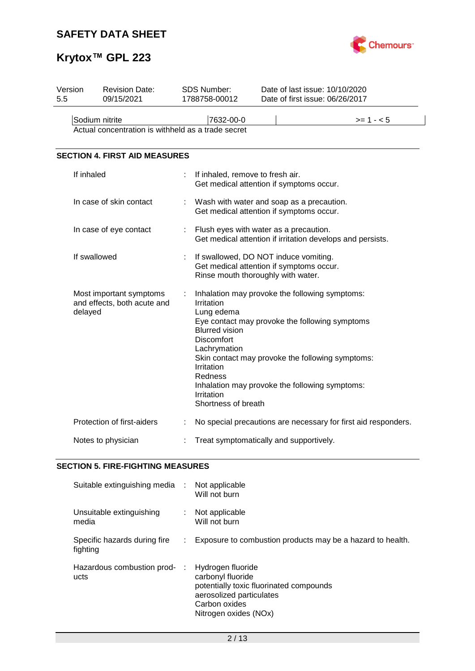

# **Krytox™ GPL 223**

| Version<br>5.5 |                              | <b>Revision Date:</b><br>09/15/2021                    |   | SDS Number:<br>1788758-00012                                                                                                                                |                                                            | Date of last issue: 10/10/2020<br>Date of first issue: 06/26/2017                                                                                                                                      |
|----------------|------------------------------|--------------------------------------------------------|---|-------------------------------------------------------------------------------------------------------------------------------------------------------------|------------------------------------------------------------|--------------------------------------------------------------------------------------------------------------------------------------------------------------------------------------------------------|
|                | Sodium nitrite               | Actual concentration is withheld as a trade secret     |   | 7632-00-0                                                                                                                                                   |                                                            | $>= 1 - 5$                                                                                                                                                                                             |
|                |                              | <b>SECTION 4. FIRST AID MEASURES</b>                   |   |                                                                                                                                                             |                                                            |                                                                                                                                                                                                        |
|                | If inhaled                   |                                                        |   | If inhaled, remove to fresh air.<br>Get medical attention if symptoms occur.                                                                                |                                                            |                                                                                                                                                                                                        |
|                | In case of skin contact<br>÷ |                                                        |   | Wash with water and soap as a precaution.<br>Get medical attention if symptoms occur.                                                                       |                                                            |                                                                                                                                                                                                        |
|                | In case of eye contact       |                                                        | ÷ | Flush eyes with water as a precaution.                                                                                                                      | Get medical attention if irritation develops and persists. |                                                                                                                                                                                                        |
|                | If swallowed                 |                                                        |   | If swallowed, DO NOT induce vomiting.<br>Get medical attention if symptoms occur.<br>Rinse mouth thoroughly with water.                                     |                                                            |                                                                                                                                                                                                        |
|                | delayed                      | Most important symptoms<br>and effects, both acute and | ÷ | Irritation<br>Lung edema<br><b>Blurred vision</b><br><b>Discomfort</b><br>Lachrymation<br>Irritation<br><b>Redness</b><br>Irritation<br>Shortness of breath |                                                            | Inhalation may provoke the following symptoms:<br>Eye contact may provoke the following symptoms<br>Skin contact may provoke the following symptoms:<br>Inhalation may provoke the following symptoms: |
|                | Protection of first-aiders   |                                                        |   |                                                                                                                                                             |                                                            | No special precautions are necessary for first aid responders.                                                                                                                                         |
|                | Notes to physician           |                                                        |   | Treat symptomatically and supportively.                                                                                                                     |                                                            |                                                                                                                                                                                                        |

## **SECTION 5. FIRE-FIGHTING MEASURES**

| Suitable extinguishing media :           |    | Not applicable<br>Will not burn                                                                                                                         |
|------------------------------------------|----|---------------------------------------------------------------------------------------------------------------------------------------------------------|
| Unsuitable extinguishing<br>media        |    | Not applicable<br>Will not burn                                                                                                                         |
| Specific hazards during fire<br>fighting | ÷. | Exposure to combustion products may be a hazard to health.                                                                                              |
| Hazardous combustion prod-<br>ucts       | ÷  | Hydrogen fluoride<br>carbonyl fluoride<br>potentially toxic fluorinated compounds<br>aerosolized particulates<br>Carbon oxides<br>Nitrogen oxides (NOx) |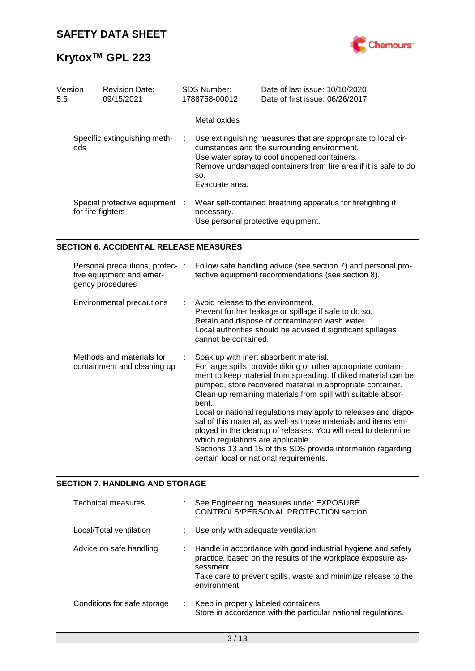

| Version<br>5.5 | <b>Revision Date:</b><br>09/15/2021               |           | <b>SDS Number:</b><br>1788758-00012 | Date of last issue: 10/10/2020<br>Date of first issue: 06/26/2017                                                                                                                                                                |
|----------------|---------------------------------------------------|-----------|-------------------------------------|----------------------------------------------------------------------------------------------------------------------------------------------------------------------------------------------------------------------------------|
|                |                                                   |           | Metal oxides                        |                                                                                                                                                                                                                                  |
| ods            | Specific extinguishing meth-                      |           | SO.<br>Evacuate area.               | : Use extinguishing measures that are appropriate to local cir-<br>cumstances and the surrounding environment.<br>Use water spray to cool unopened containers.<br>Remove undamaged containers from fire area if it is safe to do |
|                | Special protective equipment<br>for fire-fighters | $\cdot$ : | necessary.                          | Wear self-contained breathing apparatus for firefighting if<br>Use personal protective equipment.                                                                                                                                |

### **SECTION 6. ACCIDENTAL RELEASE MEASURES**

| Personal precautions, protec-:<br>tive equipment and emer-<br>gency procedures | Follow safe handling advice (see section 7) and personal pro-<br>tective equipment recommendations (see section 8).                                                                                                                                                                                                                                                                                                                                                                                                                                                                                                                                                    |
|--------------------------------------------------------------------------------|------------------------------------------------------------------------------------------------------------------------------------------------------------------------------------------------------------------------------------------------------------------------------------------------------------------------------------------------------------------------------------------------------------------------------------------------------------------------------------------------------------------------------------------------------------------------------------------------------------------------------------------------------------------------|
| <b>Environmental precautions</b>                                               | Avoid release to the environment.<br>Prevent further leakage or spillage if safe to do so.<br>Retain and dispose of contaminated wash water.<br>Local authorities should be advised if significant spillages<br>cannot be contained.                                                                                                                                                                                                                                                                                                                                                                                                                                   |
| Methods and materials for<br>containment and cleaning up                       | Soak up with inert absorbent material.<br>For large spills, provide diking or other appropriate contain-<br>ment to keep material from spreading. If diked material can be<br>pumped, store recovered material in appropriate container.<br>Clean up remaining materials from spill with suitable absor-<br>bent.<br>Local or national regulations may apply to releases and dispo-<br>sal of this material, as well as those materials and items em-<br>ployed in the cleanup of releases. You will need to determine<br>which regulations are applicable.<br>Sections 13 and 15 of this SDS provide information regarding<br>certain local or national requirements. |

### **SECTION 7. HANDLING AND STORAGE**

| <b>Technical measures</b>   | See Engineering measures under EXPOSURE<br>CONTROLS/PERSONAL PROTECTION section.                                                                                                                                           |
|-----------------------------|----------------------------------------------------------------------------------------------------------------------------------------------------------------------------------------------------------------------------|
| Local/Total ventilation     | Use only with adequate ventilation.                                                                                                                                                                                        |
| Advice on safe handling     | Handle in accordance with good industrial hygiene and safety<br>practice, based on the results of the workplace exposure as-<br>sessment<br>Take care to prevent spills, waste and minimize release to the<br>environment. |
| Conditions for safe storage | Keep in properly labeled containers.<br>Store in accordance with the particular national regulations.                                                                                                                      |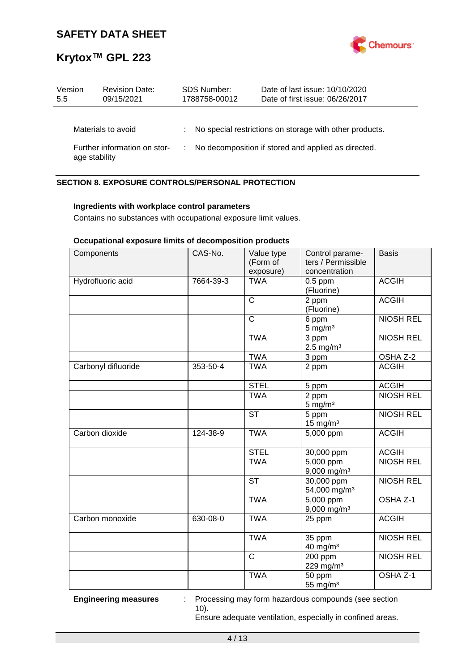

| Version<br>5.5                                | <b>Revision Date:</b><br>09/15/2021 |                                                     | <b>SDS Number:</b><br>1788758-00012 | Date of last issue: 10/10/2020<br>Date of first issue: 06/26/2017 |  |  |
|-----------------------------------------------|-------------------------------------|-----------------------------------------------------|-------------------------------------|-------------------------------------------------------------------|--|--|
|                                               | Materials to avoid                  |                                                     |                                     | : No special restrictions on storage with other products.         |  |  |
| Further information on stor-<br>age stability |                                     | No decomposition if stored and applied as directed. |                                     |                                                                   |  |  |

## **SECTION 8. EXPOSURE CONTROLS/PERSONAL PROTECTION**

### **Ingredients with workplace control parameters**

Contains no substances with occupational exposure limit values.

## **Occupational exposure limits of decomposition products**

| Components          | CAS-No.   | Value type<br>(Form of<br>exposure) | Control parame-<br>ters / Permissible<br>concentration | <b>Basis</b>     |
|---------------------|-----------|-------------------------------------|--------------------------------------------------------|------------------|
| Hydrofluoric acid   | 7664-39-3 | <b>TWA</b>                          | $0.5$ ppm<br>(Fluorine)                                | <b>ACGIH</b>     |
|                     |           | $\overline{\text{c}}$               | 2 ppm<br>(Fluorine)                                    | <b>ACGIH</b>     |
|                     |           | $\overline{\text{c}}$               | 6 ppm<br>$5 \text{ mg/m}^3$                            | <b>NIOSH REL</b> |
|                     |           | <b>TWA</b>                          | 3 ppm<br>$2.5$ mg/m <sup>3</sup>                       | <b>NIOSH REL</b> |
|                     |           | <b>TWA</b>                          | 3 ppm                                                  | OSHA Z-2         |
| Carbonyl difluoride | 353-50-4  | <b>TWA</b>                          | 2 ppm                                                  | <b>ACGIH</b>     |
|                     |           | <b>STEL</b>                         | 5 ppm                                                  | <b>ACGIH</b>     |
|                     |           | <b>TWA</b>                          | 2 ppm<br>$5$ mg/m <sup>3</sup>                         | <b>NIOSH REL</b> |
|                     |           | <b>ST</b>                           | 5 ppm<br>$15$ mg/m <sup>3</sup>                        | <b>NIOSH REL</b> |
| Carbon dioxide      | 124-38-9  | <b>TWA</b>                          | 5,000 ppm                                              | <b>ACGIH</b>     |
|                     |           | <b>STEL</b>                         | 30,000 ppm                                             | <b>ACGIH</b>     |
|                     |           | <b>TWA</b>                          | $5,000$ ppm<br>9,000 mg/m <sup>3</sup>                 | <b>NIOSH REL</b> |
|                     |           | <b>ST</b>                           | 30,000 ppm<br>54,000 mg/m <sup>3</sup>                 | <b>NIOSH REL</b> |
|                     |           | <b>TWA</b>                          | 5,000 ppm<br>$9,000$ mg/m <sup>3</sup>                 | OSHA Z-1         |
| Carbon monoxide     | 630-08-0  | <b>TWA</b>                          | 25 ppm                                                 | <b>ACGIH</b>     |
|                     |           | <b>TWA</b>                          | 35 ppm<br>40 mg/m $3$                                  | <b>NIOSH REL</b> |
|                     |           | $\overline{\text{c}}$               | 200 ppm<br>229 mg/m <sup>3</sup>                       | <b>NIOSH REL</b> |
|                     |           | <b>TWA</b>                          | 50 ppm<br>55 mg/m <sup>3</sup>                         | OSHA Z-1         |

**Engineering measures** : Processing may form hazardous compounds (see section 10).

Ensure adequate ventilation, especially in confined areas.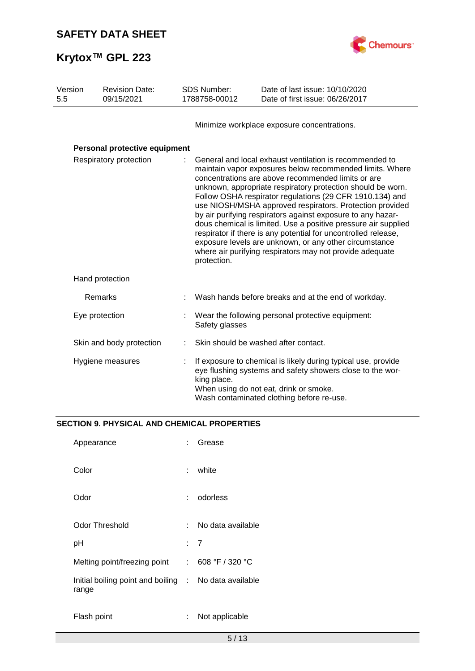

| Version<br>5.5         |  | <b>Revision Date:</b><br>09/15/2021 | <b>SDS Number:</b><br>1788758-00012                                                                                                                                                                                                                                                                                                                                                                                                                                                                                                                                                                                                                                                                      |                | Date of last issue: 10/10/2020<br>Date of first issue: 06/26/2017                                                                                                                                                 |
|------------------------|--|-------------------------------------|----------------------------------------------------------------------------------------------------------------------------------------------------------------------------------------------------------------------------------------------------------------------------------------------------------------------------------------------------------------------------------------------------------------------------------------------------------------------------------------------------------------------------------------------------------------------------------------------------------------------------------------------------------------------------------------------------------|----------------|-------------------------------------------------------------------------------------------------------------------------------------------------------------------------------------------------------------------|
|                        |  |                                     |                                                                                                                                                                                                                                                                                                                                                                                                                                                                                                                                                                                                                                                                                                          |                | Minimize workplace exposure concentrations.                                                                                                                                                                       |
|                        |  | Personal protective equipment       |                                                                                                                                                                                                                                                                                                                                                                                                                                                                                                                                                                                                                                                                                                          |                |                                                                                                                                                                                                                   |
| Respiratory protection |  |                                     | General and local exhaust ventilation is recommended to<br>maintain vapor exposures below recommended limits. Where<br>concentrations are above recommended limits or are<br>unknown, appropriate respiratory protection should be worn.<br>Follow OSHA respirator regulations (29 CFR 1910.134) and<br>use NIOSH/MSHA approved respirators. Protection provided<br>by air purifying respirators against exposure to any hazar-<br>dous chemical is limited. Use a positive pressure air supplied<br>respirator if there is any potential for uncontrolled release,<br>exposure levels are unknown, or any other circumstance<br>where air purifying respirators may not provide adequate<br>protection. |                |                                                                                                                                                                                                                   |
|                        |  | Hand protection                     |                                                                                                                                                                                                                                                                                                                                                                                                                                                                                                                                                                                                                                                                                                          |                |                                                                                                                                                                                                                   |
|                        |  | Remarks                             |                                                                                                                                                                                                                                                                                                                                                                                                                                                                                                                                                                                                                                                                                                          |                | Wash hands before breaks and at the end of workday.                                                                                                                                                               |
|                        |  | Eye protection                      |                                                                                                                                                                                                                                                                                                                                                                                                                                                                                                                                                                                                                                                                                                          | Safety glasses | Wear the following personal protective equipment:                                                                                                                                                                 |
|                        |  | Skin and body protection            |                                                                                                                                                                                                                                                                                                                                                                                                                                                                                                                                                                                                                                                                                                          |                | Skin should be washed after contact.                                                                                                                                                                              |
|                        |  | Hygiene measures                    |                                                                                                                                                                                                                                                                                                                                                                                                                                                                                                                                                                                                                                                                                                          | king place.    | If exposure to chemical is likely during typical use, provide<br>eye flushing systems and safety showers close to the wor-<br>When using do not eat, drink or smoke.<br>Wash contaminated clothing before re-use. |

## **SECTION 9. PHYSICAL AND CHEMICAL PROPERTIES**

| Appearance                                                     |     | Grease            |
|----------------------------------------------------------------|-----|-------------------|
| Color                                                          | t.  | white             |
| Odor                                                           | × 1 | odorless          |
| Odor Threshold                                                 |     | No data available |
| рH                                                             |     | : 7               |
| Melting point/freezing point                                   | t.  | 608 °F / 320 °C   |
| Initial boiling point and boiling : No data available<br>range |     |                   |
| Flash point                                                    |     | Not applicable    |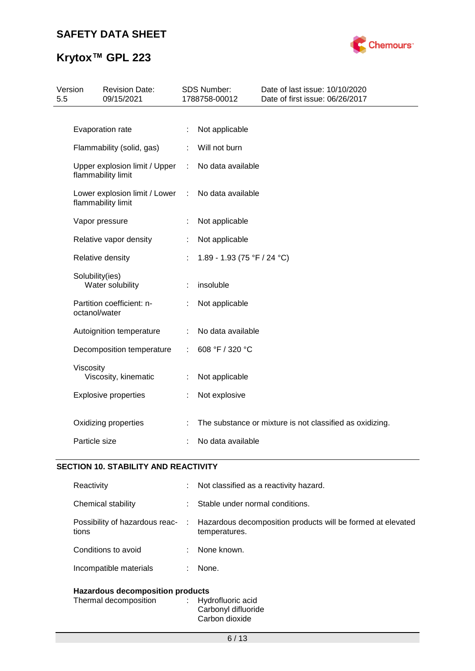

| 5.5 | Version         | <b>Revision Date:</b><br>09/15/2021                   |   | SDS Number:<br>1788758-00012 | Date of last issue: 10/10/2020<br>Date of first issue: 06/26/2017 |
|-----|-----------------|-------------------------------------------------------|---|------------------------------|-------------------------------------------------------------------|
|     |                 |                                                       |   |                              |                                                                   |
|     |                 | Evaporation rate                                      | ÷ | Not applicable               |                                                                   |
|     |                 | Flammability (solid, gas)                             |   | Will not burn                |                                                                   |
|     |                 | Upper explosion limit / Upper<br>flammability limit   | ÷ | No data available            |                                                                   |
|     |                 | Lower explosion limit / Lower :<br>flammability limit |   | No data available            |                                                                   |
|     |                 | Vapor pressure                                        |   | Not applicable               |                                                                   |
|     |                 | Relative vapor density                                | ÷ | Not applicable               |                                                                   |
|     |                 | Relative density                                      |   | 1.89 - 1.93 (75 °F / 24 °C)  |                                                                   |
|     | Solubility(ies) | Water solubility                                      | ÷ | insoluble                    |                                                                   |
|     | octanol/water   | Partition coefficient: n-                             |   | Not applicable               |                                                                   |
|     |                 | Autoignition temperature                              |   | No data available            |                                                                   |
|     |                 | Decomposition temperature                             | ÷ | 608 °F / 320 °C              |                                                                   |
|     | Viscosity       | Viscosity, kinematic                                  | ÷ | Not applicable               |                                                                   |
|     |                 | <b>Explosive properties</b>                           |   | Not explosive                |                                                                   |
|     |                 | Oxidizing properties                                  |   |                              | The substance or mixture is not classified as oxidizing.          |
|     | Particle size   |                                                       |   | No data available            |                                                                   |
|     |                 |                                                       |   |                              |                                                                   |

## **SECTION 10. STABILITY AND REACTIVITY**

| Reactivity                              | ÷.                          | Not classified as a reactivity hazard.                                         |  |  |  |
|-----------------------------------------|-----------------------------|--------------------------------------------------------------------------------|--|--|--|
| Chemical stability                      | ÷                           | Stable under normal conditions.                                                |  |  |  |
| Possibility of hazardous reac-<br>tions |                             | : Hazardous decomposition products will be formed at elevated<br>temperatures. |  |  |  |
| Conditions to avoid                     |                             | None known.                                                                    |  |  |  |
| Incompatible materials                  |                             | None.                                                                          |  |  |  |
| <b>Hazardous decomposition products</b> |                             |                                                                                |  |  |  |
| Thermal decomposition                   | $\mathcal{L}^{\mathcal{L}}$ | Hydrofluoric acid<br>Carbonyl difluoride                                       |  |  |  |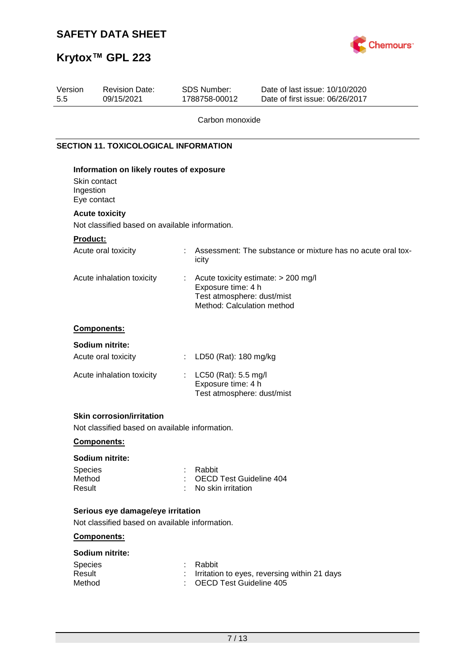

# **Krytox™ GPL 223**

| Version<br>5.5  | <b>Revision Date:</b><br>09/15/2021            | <b>SDS Number:</b><br>1788758-00012                                            | Date of last issue: 10/10/2020<br>Date of first issue: 06/26/2017 |
|-----------------|------------------------------------------------|--------------------------------------------------------------------------------|-------------------------------------------------------------------|
|                 |                                                | Carbon monoxide                                                                |                                                                   |
|                 | <b>SECTION 11. TOXICOLOGICAL INFORMATION</b>   |                                                                                |                                                                   |
|                 |                                                |                                                                                |                                                                   |
|                 | Information on likely routes of exposure       |                                                                                |                                                                   |
| Ingestion       | Skin contact                                   |                                                                                |                                                                   |
|                 | Eye contact                                    |                                                                                |                                                                   |
|                 | <b>Acute toxicity</b>                          |                                                                                |                                                                   |
|                 | Not classified based on available information. |                                                                                |                                                                   |
| <b>Product:</b> |                                                |                                                                                |                                                                   |
|                 | Acute oral toxicity                            | ÷<br>icity                                                                     | Assessment: The substance or mixture has no acute oral tox-       |
|                 | Acute inhalation toxicity                      |                                                                                | Acute toxicity estimate: > 200 mg/l                               |
|                 |                                                | Exposure time: 4 h                                                             |                                                                   |
|                 |                                                | Test atmosphere: dust/mist<br>Method: Calculation method                       |                                                                   |
|                 | Components:                                    |                                                                                |                                                                   |
|                 | Sodium nitrite:                                |                                                                                |                                                                   |
|                 | Acute oral toxicity                            | LD50 (Rat): 180 mg/kg<br>÷.                                                    |                                                                   |
|                 | Acute inhalation toxicity                      | LC50 (Rat): 5.5 mg/l<br>÷.<br>Exposure time: 4 h<br>Test atmosphere: dust/mist |                                                                   |
|                 | <b>Skin corrosion/irritation</b>               |                                                                                |                                                                   |
|                 | Not classified based on available information. |                                                                                |                                                                   |
|                 | Components:                                    |                                                                                |                                                                   |
|                 | Sodium nitrite:                                |                                                                                |                                                                   |
| Species         |                                                | Rabbit                                                                         |                                                                   |
| Method          |                                                | <b>OECD Test Guideline 404</b>                                                 |                                                                   |
| Result          |                                                | No skin irritation                                                             |                                                                   |
|                 | Serious eye damage/eye irritation              |                                                                                |                                                                   |
|                 | Not classified based on available information. |                                                                                |                                                                   |
|                 | <b>Components:</b>                             |                                                                                |                                                                   |
|                 | Sodium nitrite:                                |                                                                                |                                                                   |
| Species         |                                                | Rabbit                                                                         |                                                                   |
| Result          |                                                |                                                                                | Irritation to eyes, reversing within 21 days                      |
| Method          |                                                | <b>OECD Test Guideline 405</b>                                                 |                                                                   |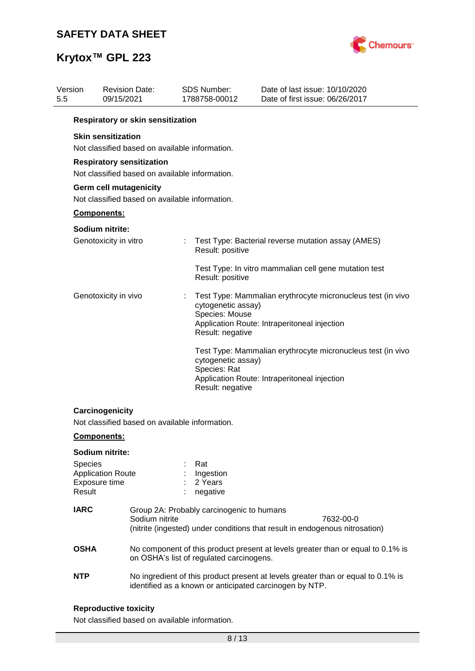

| Version<br>5.5 |                   | <b>Revision Date:</b><br>09/15/2021                                                | <b>SDS Number:</b><br>1788758-00012       |                                                          | Date of last issue: 10/10/2020<br>Date of first issue: 06/26/2017                                                                           |
|----------------|-------------------|------------------------------------------------------------------------------------|-------------------------------------------|----------------------------------------------------------|---------------------------------------------------------------------------------------------------------------------------------------------|
|                |                   | Respiratory or skin sensitization                                                  |                                           |                                                          |                                                                                                                                             |
|                |                   | <b>Skin sensitization</b><br>Not classified based on available information.        |                                           |                                                          |                                                                                                                                             |
|                |                   | <b>Respiratory sensitization</b><br>Not classified based on available information. |                                           |                                                          |                                                                                                                                             |
|                |                   | Germ cell mutagenicity<br>Not classified based on available information.           |                                           |                                                          |                                                                                                                                             |
|                |                   | Components:                                                                        |                                           |                                                          |                                                                                                                                             |
|                |                   | Sodium nitrite:                                                                    |                                           |                                                          |                                                                                                                                             |
|                |                   | Genotoxicity in vitro                                                              |                                           | Result: positive                                         | Test Type: Bacterial reverse mutation assay (AMES)                                                                                          |
|                |                   |                                                                                    |                                           | Result: positive                                         | Test Type: In vitro mammalian cell gene mutation test                                                                                       |
|                |                   | Genotoxicity in vivo                                                               |                                           | cytogenetic assay)<br>Species: Mouse<br>Result: negative | Test Type: Mammalian erythrocyte micronucleus test (in vivo<br>Application Route: Intraperitoneal injection                                 |
|                |                   |                                                                                    |                                           | cytogenetic assay)<br>Species: Rat<br>Result: negative   | Test Type: Mammalian erythrocyte micronucleus test (in vivo<br>Application Route: Intraperitoneal injection                                 |
|                |                   | Carcinogenicity<br>Not classified based on available information.                  |                                           |                                                          |                                                                                                                                             |
|                |                   | <b>Components:</b>                                                                 |                                           |                                                          |                                                                                                                                             |
|                |                   | Sodium nitrite:                                                                    |                                           |                                                          |                                                                                                                                             |
|                | Species<br>Result | <b>Application Route</b><br>Exposure time                                          | Rat<br>2 Years<br>negative                | Ingestion                                                |                                                                                                                                             |
|                | <b>IARC</b>       | Sodium nitrite                                                                     | Group 2A: Probably carcinogenic to humans |                                                          | 7632-00-0<br>(nitrite (ingested) under conditions that result in endogenous nitrosation)                                                    |
|                | <b>OSHA</b>       |                                                                                    | on OSHA's list of regulated carcinogens.  |                                                          | No component of this product present at levels greater than or equal to 0.1% is                                                             |
|                | <b>NTP</b>        |                                                                                    |                                           |                                                          | No ingredient of this product present at levels greater than or equal to 0.1% is<br>identified as a known or anticipated carcinogen by NTP. |

## **Reproductive toxicity**

Not classified based on available information.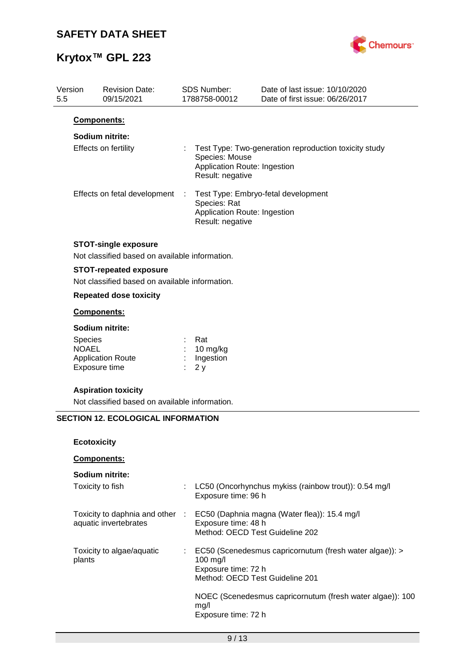

| Version<br>5.5 | <b>Revision Date:</b><br>09/15/2021                                           |      | <b>SDS Number:</b><br>1788758-00012                                | Date of last issue: 10/10/2020<br>Date of first issue: 06/26/2017 |
|----------------|-------------------------------------------------------------------------------|------|--------------------------------------------------------------------|-------------------------------------------------------------------|
|                | <b>Components:</b>                                                            |      |                                                                    |                                                                   |
|                | Sodium nitrite:                                                               |      |                                                                    |                                                                   |
|                | Effects on fertility                                                          |      | Species: Mouse<br>Application Route: Ingestion<br>Result: negative | Test Type: Two-generation reproduction toxicity study             |
|                | Effects on fetal development                                                  | - 11 | Species: Rat<br>Application Route: Ingestion<br>Result: negative   | Test Type: Embryo-fetal development                               |
|                | <b>STOT-single exposure</b><br>Not classified based on available information. |      |                                                                    |                                                                   |
|                | <b>STOT-repeated exposure</b>                                                 |      |                                                                    |                                                                   |
|                | Not classified based on available information.                                |      |                                                                    |                                                                   |
|                | <b>Repeated dose toxicity</b>                                                 |      |                                                                    |                                                                   |
|                | Components:                                                                   |      |                                                                    |                                                                   |
|                | Sodium nitrite:                                                               |      |                                                                    |                                                                   |
| Species        |                                                                               |      | Rat                                                                |                                                                   |
| <b>NOAEL</b>   | <b>Application Route</b>                                                      |      | 10 mg/kg<br>Ingestion                                              |                                                                   |
|                | Exposure time                                                                 |      | 2y                                                                 |                                                                   |
|                | <b>Aspiration toxicity</b>                                                    |      |                                                                    |                                                                   |
|                | Not classified based on available information.                                |      |                                                                    |                                                                   |
|                | <b>SECTION 12. ECOLOGICAL INFORMATION</b>                                     |      |                                                                    |                                                                   |
|                | <b>Ecotoxicity</b>                                                            |      |                                                                    |                                                                   |
|                | Components:                                                                   |      |                                                                    |                                                                   |
|                | Sodium nitrite:                                                               |      |                                                                    |                                                                   |
|                | Toxicity to fish                                                              |      | Exposure time: 96 h                                                | LC50 (Oncorhynchus mykiss (rainbow trout)): 0.54 mg/l             |
|                | Toxicity to daphnia and other :                                               |      |                                                                    | EC50 (Daphnia magna (Water flea)): 15.4 mg/l                      |
|                | aquatic invertebrates                                                         |      | Exposure time: 48 h<br>Method: OECD Test Guideline 202             |                                                                   |
| plants         | Toxicity to algae/aquatic                                                     |      | 100 mg/l<br>Exposure time: 72 h<br>Method: OECD Test Guideline 201 | EC50 (Scenedesmus capricornutum (fresh water algae)): >           |
|                |                                                                               |      | mg/l<br>Exposure time: 72 h                                        | NOEC (Scenedesmus capricornutum (fresh water algae)): 100         |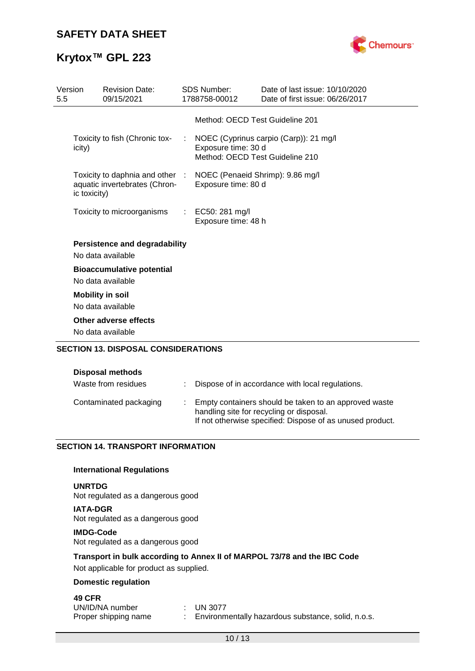

| 5.5 | Version                                  | <b>Revision Date:</b><br>09/15/2021                                                               | <b>SDS Number:</b><br>1788758-00012                                                                | Date of last issue: 10/10/2020<br>Date of first issue: 06/26/2017 |  |  |
|-----|------------------------------------------|---------------------------------------------------------------------------------------------------|----------------------------------------------------------------------------------------------------|-------------------------------------------------------------------|--|--|
|     |                                          |                                                                                                   |                                                                                                    | Method: OECD Test Guideline 201                                   |  |  |
|     | Toxicity to fish (Chronic tox-<br>icity) |                                                                                                   | : NOEC (Cyprinus carpio (Carp)): 21 mg/l<br>Exposure time: 30 d<br>Method: OECD Test Guideline 210 |                                                                   |  |  |
|     | ic toxicity)                             | Toxicity to daphnia and other : NOEC (Penaeid Shrimp): 9.86 mg/l<br>aquatic invertebrates (Chron- | Exposure time: 80 d                                                                                |                                                                   |  |  |
|     |                                          | Toxicity to microorganisms                                                                        | : EC50: 281 mg/l<br>Exposure time: 48 h                                                            |                                                                   |  |  |
|     |                                          | <b>Persistence and degradability</b><br>No data available                                         |                                                                                                    |                                                                   |  |  |
|     |                                          | <b>Bioaccumulative potential</b><br>No data available                                             |                                                                                                    |                                                                   |  |  |
|     |                                          | <b>Mobility in soil</b><br>No data available                                                      |                                                                                                    |                                                                   |  |  |
|     |                                          | Other adverse effects<br>No data available                                                        |                                                                                                    |                                                                   |  |  |
|     |                                          | <b>SECTION 13. DISPOSAL CONSIDERATIONS</b>                                                        |                                                                                                    |                                                                   |  |  |

#### **Disposal methods**

| Waste from residues    | Dispose of in accordance with local regulations.                                                                                                               |
|------------------------|----------------------------------------------------------------------------------------------------------------------------------------------------------------|
| Contaminated packaging | Empty containers should be taken to an approved waste<br>handling site for recycling or disposal.<br>If not otherwise specified: Dispose of as unused product. |

### **SECTION 14. TRANSPORT INFORMATION**

#### **International Regulations**

#### **UNRTDG**

Not regulated as a dangerous good

**IATA-DGR** Not regulated as a dangerous good

#### **IMDG-Code**

Not regulated as a dangerous good

### **Transport in bulk according to Annex II of MARPOL 73/78 and the IBC Code**

Not applicable for product as supplied.

### **Domestic regulation**

## **49 CFR**

| UN/ID/NA number      | $\therefore$ UN 3077                               |
|----------------------|----------------------------------------------------|
| Proper shipping name | Environmentally hazardous substance, solid, n.o.s. |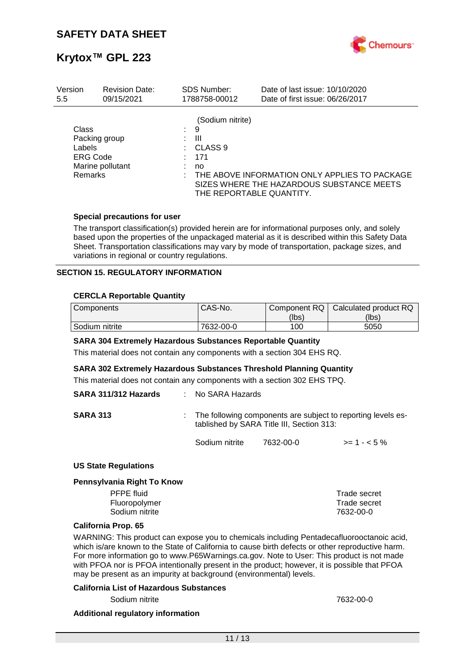

| Version                                                               | <b>Revision Date:</b> |    | <b>SDS Number:</b>                                                                        | Date of last issue: 10/10/2020                                                             |
|-----------------------------------------------------------------------|-----------------------|----|-------------------------------------------------------------------------------------------|--------------------------------------------------------------------------------------------|
| 5.5                                                                   | 09/15/2021            |    | 1788758-00012                                                                             | Date of first issue: 06/26/2017                                                            |
| Class<br>Packing group<br>Labels<br><b>ERG Code</b><br><b>Remarks</b> | Marine pollutant      | ÷. | (Sodium nitrite)<br>9<br>Ш<br>CLASS <sub>9</sub><br>171<br>no<br>THE REPORTABLE QUANTITY. | THE ABOVE INFORMATION ONLY APPLIES TO PACKAGE<br>SIZES WHERE THE HAZARDOUS SUBSTANCE MEETS |

#### **Special precautions for user**

The transport classification(s) provided herein are for informational purposes only, and solely based upon the properties of the unpackaged material as it is described within this Safety Data Sheet. Transportation classifications may vary by mode of transportation, package sizes, and variations in regional or country regulations.

#### **SECTION 15. REGULATORY INFORMATION**

#### **CERCLA Reportable Quantity**

| Components     | CAS-No.   | Component RQ | Calculated product RQ |
|----------------|-----------|--------------|-----------------------|
|                |           | (lbs)        | (lbs)                 |
| Sodium nitrite | 7632-00-0 | 100          | 5050                  |

#### **SARA 304 Extremely Hazardous Substances Reportable Quantity**

This material does not contain any components with a section 304 EHS RQ.

#### **SARA 302 Extremely Hazardous Substances Threshold Planning Quantity**

This material does not contain any components with a section 302 EHS TPQ.

| SARA 311/312 Hazards | : No SARA Hazards |                                           |                                                                |
|----------------------|-------------------|-------------------------------------------|----------------------------------------------------------------|
| <b>SARA 313</b>      |                   | tablished by SARA Title III, Section 313: | : The following components are subject to reporting levels es- |
|                      | Sodium nitrite    | 7632-00-0                                 | $>= 1 - 5\%$                                                   |

#### **US State Regulations**

#### **Pennsylvania Right To Know**

| Trade secret |
|--------------|
| Trade secret |
| 7632-00-0    |
|              |

#### **California Prop. 65**

WARNING: This product can expose you to chemicals including Pentadecafluorooctanoic acid, which is/are known to the State of California to cause birth defects or other reproductive harm. For more information go to www.P65Warnings.ca.gov. Note to User: This product is not made with PFOA nor is PFOA intentionally present in the product; however, it is possible that PFOA may be present as an impurity at background (environmental) levels.

#### **California List of Hazardous Substances**

Sodium nitrite 7632-00-0

#### **Additional regulatory information**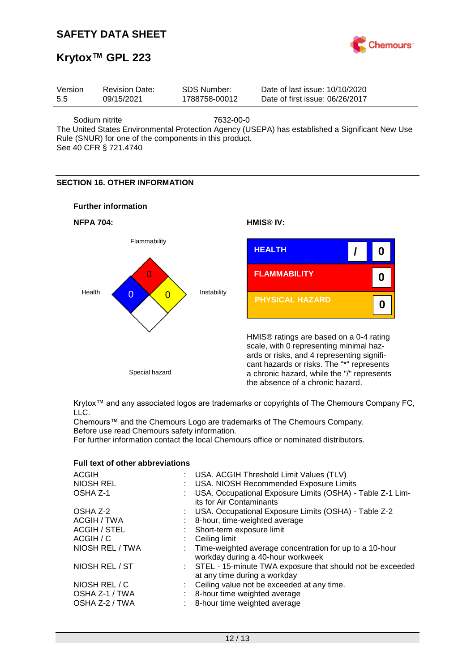

## **Krytox™ GPL 223**

| Version | <b>Revision Date:</b> | SDS Number:   | Date of last issue: 10/10/2020  |  |
|---------|-----------------------|---------------|---------------------------------|--|
| 5.5     | 09/15/2021            | 1788758-00012 | Date of first issue: 06/26/2017 |  |
|         |                       |               |                                 |  |

Sodium nitrite 7632-00-0

The United States Environmental Protection Agency (USEPA) has established a Significant New Use Rule (SNUR) for one of the components in this product. See 40 CFR § 721.4740

## **SECTION 16. OTHER INFORMATION**





Krytox™ and any associated logos are trademarks or copyrights of The Chemours Company FC, LLC.

Chemours™ and the Chemours Logo are trademarks of The Chemours Company. Before use read Chemours safety information.

For further information contact the local Chemours office or nominated distributors.

| <b>ACGIH</b>                                      | : USA. ACGIH Threshold Limit Values (TLV)                                                                    |
|---------------------------------------------------|--------------------------------------------------------------------------------------------------------------|
| <b>NIOSH REL</b>                                  | USA. NIOSH Recommended Exposure Limits                                                                       |
| OSHA Z-1                                          | : USA. Occupational Exposure Limits (OSHA) - Table Z-1 Lim-<br>its for Air Contaminants                      |
| OSHA Z-2                                          | : USA. Occupational Exposure Limits (OSHA) - Table Z-2                                                       |
| ACGIH / TWA                                       | : 8-hour, time-weighted average                                                                              |
| <b>ACGIH / STEL</b>                               | Short-term exposure limit                                                                                    |
| ACGIH / C                                         | $\therefore$ Ceiling limit                                                                                   |
| NIOSH REL / TWA                                   | : Time-weighted average concentration for up to a 10-hour<br>workday during a 40-hour workweek               |
| NIOSH REL / ST                                    | : STEL - 15-minute TWA exposure that should not be exceeded<br>at any time during a workday                  |
| NIOSH REL / C<br>OSHA Z-1 / TWA<br>OSHA Z-2 / TWA | : Ceiling value not be exceeded at any time.<br>8-hour time weighted average<br>8-hour time weighted average |